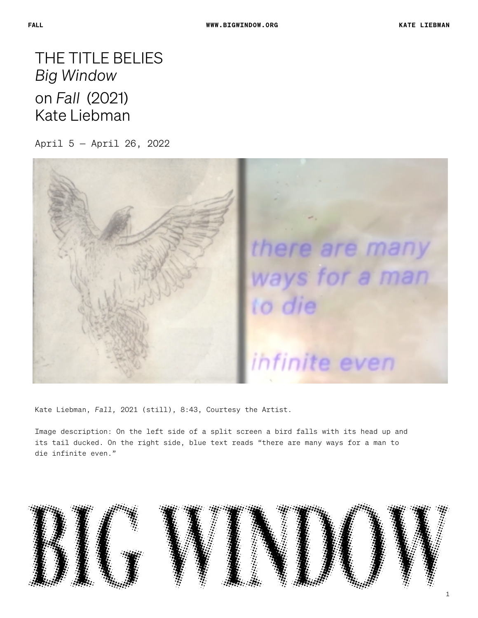THE TITLE BELIES *Big Window*  on *Fall* (2021) Kate Liebman

April 5 — April 26, 2022



Kate Liebman, *Fall,* 2021 (still), 8:43, Courtesy the Artist.

Image description: On the left side of a split screen a bird falls with its head up and its tail ducked. On the right side, blue text reads "there are many ways for a man to die infinite even."